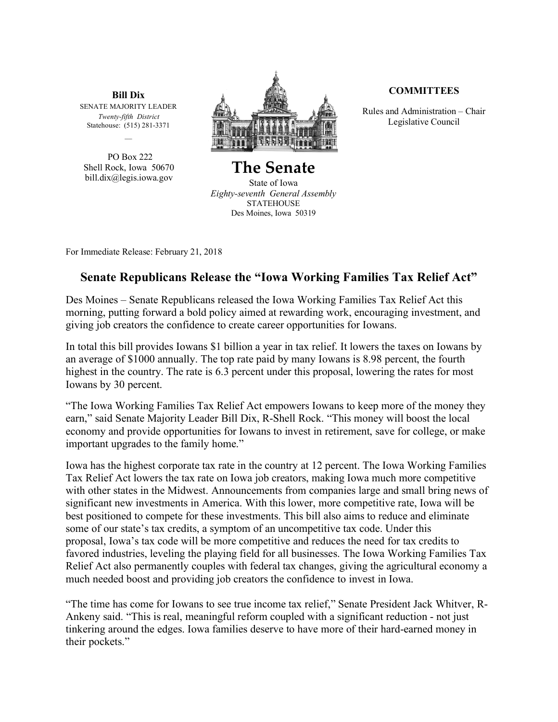**Bill Dix** SENATE MAJORITY LEADER *Twenty-fifth District* Statehouse: (515) 281-3371

PO Box 222 Shell Rock, Iowa 50670 bill.dix@legis.iowa.gov



**The Senate** State of Iowa *Eighty-seventh General Assembly* STATEHOUSE Des Moines, Iowa 50319

## **COMMITTEES**

Rules and Administration – Chair Legislative Council

For Immediate Release: February 21, 2018

## **Senate Republicans Release the "Iowa Working Families Tax Relief Act"**

Des Moines – Senate Republicans released the Iowa Working Families Tax Relief Act this morning, putting forward a bold policy aimed at rewarding work, encouraging investment, and giving job creators the confidence to create career opportunities for Iowans.

In total this bill provides Iowans \$1 billion a year in tax relief. It lowers the taxes on Iowans by an average of \$1000 annually. The top rate paid by many Iowans is 8.98 percent, the fourth highest in the country. The rate is 6.3 percent under this proposal, lowering the rates for most Iowans by 30 percent.

"The Iowa Working Families Tax Relief Act empowers Iowans to keep more of the money they earn," said Senate Majority Leader Bill Dix, R-Shell Rock. "This money will boost the local economy and provide opportunities for Iowans to invest in retirement, save for college, or make important upgrades to the family home."

Iowa has the highest corporate tax rate in the country at 12 percent. The Iowa Working Families Tax Relief Act lowers the tax rate on Iowa job creators, making Iowa much more competitive with other states in the Midwest. Announcements from companies large and small bring news of significant new investments in America. With this lower, more competitive rate, Iowa will be best positioned to compete for these investments. This bill also aims to reduce and eliminate some of our state's tax credits, a symptom of an uncompetitive tax code. Under this proposal, Iowa's tax code will be more competitive and reduces the need for tax credits to favored industries, leveling the playing field for all businesses. The Iowa Working Families Tax Relief Act also permanently couples with federal tax changes, giving the agricultural economy a much needed boost and providing job creators the confidence to invest in Iowa.

"The time has come for Iowans to see true income tax relief," Senate President Jack Whitver, R-Ankeny said. "This is real, meaningful reform coupled with a significant reduction - not just tinkering around the edges. Iowa families deserve to have more of their hard-earned money in their pockets."